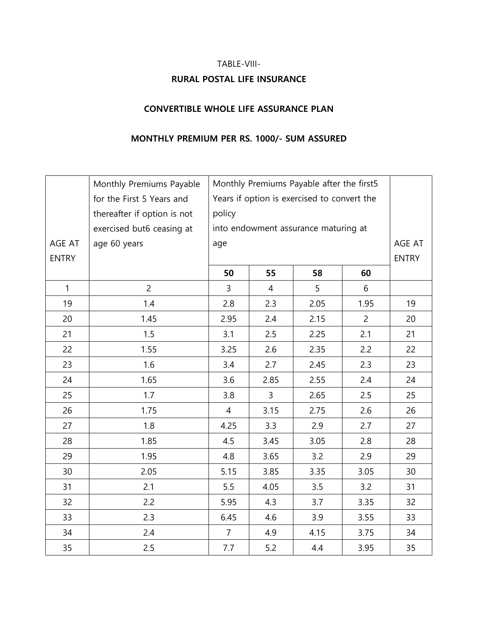# TABLE-VIII-**RURAL POSTAL LIFE INSURANCE**

### **CONVERTIBLE WHOLE LIFE ASSURANCE PLAN**

### **MONTHLY PREMIUM PER RS. 1000/- SUM ASSURED**

|              | Monthly Premiums Payable    |                | Monthly Premiums Payable after the first5   |      |                |              |  |  |  |
|--------------|-----------------------------|----------------|---------------------------------------------|------|----------------|--------------|--|--|--|
|              | for the First 5 Years and   |                | Years if option is exercised to convert the |      |                |              |  |  |  |
|              | thereafter if option is not | policy         |                                             |      |                |              |  |  |  |
|              | exercised but6 ceasing at   |                | into endowment assurance maturing at        |      |                |              |  |  |  |
| AGE AT       | age 60 years                | age            |                                             |      |                | AGE AT       |  |  |  |
| <b>ENTRY</b> |                             |                |                                             |      |                | <b>ENTRY</b> |  |  |  |
|              |                             | 50             | 55                                          | 58   | 60             |              |  |  |  |
| $\mathbf{1}$ | $\overline{2}$              | 3              | $\overline{4}$                              | 5    | 6              |              |  |  |  |
| 19           | 1.4                         | 2.8            | 2.3                                         | 2.05 | 1.95           | 19           |  |  |  |
| 20           | 1.45                        | 2.95           | 2.4                                         | 2.15 | $\overline{2}$ | 20           |  |  |  |
| 21           | 1.5                         | 3.1            | 2.5                                         | 2.25 | 2.1            | 21           |  |  |  |
| 22           | 1.55                        | 3.25           | 2.6                                         | 2.35 | 2.2            | 22           |  |  |  |
| 23           | 1.6                         | 3.4            | 2.7                                         | 2.45 | 2.3            | 23           |  |  |  |
| 24           | 1.65                        | 3.6            | 2.85                                        | 2.55 | 2.4            | 24           |  |  |  |
| 25           | 1.7                         | 3.8            | 3                                           | 2.65 | 2.5            | 25           |  |  |  |
| 26           | 1.75                        | 4              | 3.15                                        | 2.75 | 2.6            | 26           |  |  |  |
| 27           | 1.8                         | 4.25           | 3.3                                         | 2.9  | 2.7            | 27           |  |  |  |
| 28           | 1.85                        | 4.5            | 3.45                                        | 3.05 | 2.8            | 28           |  |  |  |
| 29           | 1.95                        | 4.8            | 3.65                                        | 3.2  | 2.9            | 29           |  |  |  |
| 30           | 2.05                        | 5.15           | 3.85                                        | 3.35 | 3.05           | 30           |  |  |  |
| 31           | 2.1                         | 5.5            | 4.05                                        | 3.5  | 3.2            | 31           |  |  |  |
| 32           | 2.2                         | 5.95           | 4.3                                         | 3.7  | 3.35           | 32           |  |  |  |
| 33           | 2.3                         | 6.45           | 4.6                                         | 3.9  | 3.55           | 33           |  |  |  |
| 34           | 2.4                         | $\overline{7}$ | 4.9                                         | 4.15 | 3.75           | 34           |  |  |  |
| 35           | 2.5                         | 7.7            | 5.2                                         | 4.4  | 3.95           | 35           |  |  |  |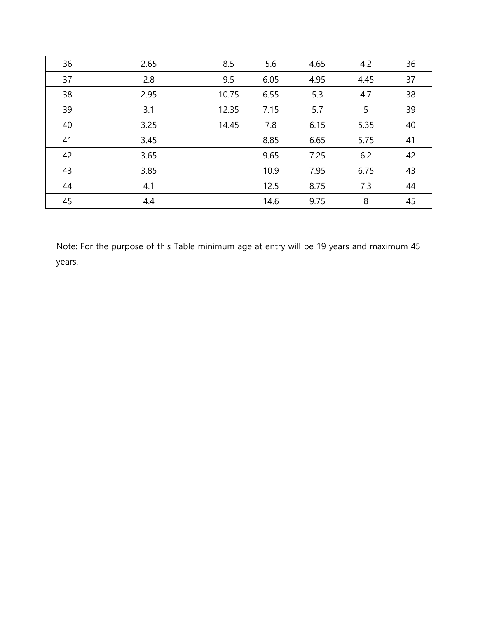| 36 | 2.65 | 8.5   | 5.6  | 4.65 | 4.2  | 36 |
|----|------|-------|------|------|------|----|
| 37 | 2.8  | 9.5   | 6.05 | 4.95 | 4.45 | 37 |
| 38 | 2.95 | 10.75 | 6.55 | 5.3  | 4.7  | 38 |
| 39 | 3.1  | 12.35 | 7.15 | 5.7  | 5    | 39 |
| 40 | 3.25 | 14.45 | 7.8  | 6.15 | 5.35 | 40 |
| 41 | 3.45 |       | 8.85 | 6.65 | 5.75 | 41 |
| 42 | 3.65 |       | 9.65 | 7.25 | 6.2  | 42 |
| 43 | 3.85 |       | 10.9 | 7.95 | 6.75 | 43 |
| 44 | 4.1  |       | 12.5 | 8.75 | 7.3  | 44 |
| 45 | 4.4  |       | 14.6 | 9.75 | 8    | 45 |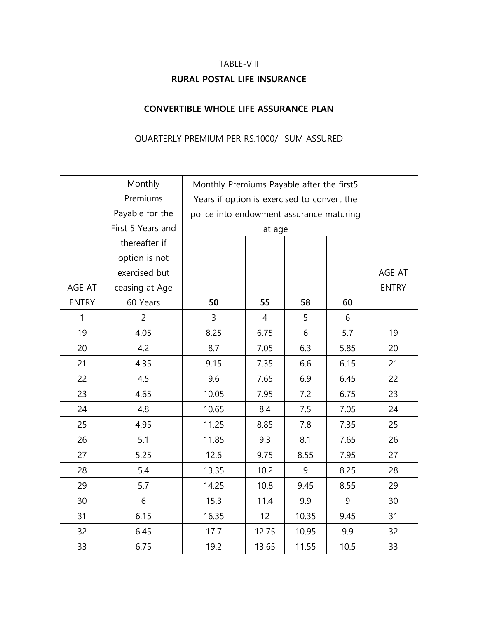# TABLE-VIII **RURAL POSTAL LIFE INSURANCE**

### **CONVERTIBLE WHOLE LIFE ASSURANCE PLAN**

### QUARTERLY PREMIUM PER RS.1000/- SUM ASSURED

|              | Monthly           |                                             | Monthly Premiums Payable after the first5 |       |      |              |  |  |  |
|--------------|-------------------|---------------------------------------------|-------------------------------------------|-------|------|--------------|--|--|--|
|              | Premiums          | Years if option is exercised to convert the |                                           |       |      |              |  |  |  |
|              | Payable for the   |                                             | police into endowment assurance maturing  |       |      |              |  |  |  |
|              | First 5 Years and |                                             | at age                                    |       |      |              |  |  |  |
|              | thereafter if     |                                             |                                           |       |      |              |  |  |  |
|              | option is not     |                                             |                                           |       |      |              |  |  |  |
|              | exercised but     |                                             |                                           |       |      | AGE AT       |  |  |  |
| AGE AT       | ceasing at Age    |                                             |                                           |       |      | <b>ENTRY</b> |  |  |  |
| <b>ENTRY</b> | 60 Years          | 50                                          | 55                                        | 58    | 60   |              |  |  |  |
| $\mathbf{1}$ | $\overline{c}$    | 3                                           | $\overline{4}$                            | 5     | 6    |              |  |  |  |
| 19           | 4.05              | 8.25                                        | 6.75                                      | 6     | 5.7  | 19           |  |  |  |
| 20           | 4.2               | 8.7                                         | 7.05                                      | 6.3   | 5.85 | 20           |  |  |  |
| 21           | 4.35              | 9.15                                        | 7.35                                      | 6.6   | 6.15 | 21           |  |  |  |
| 22           | 4.5               | 9.6                                         | 7.65                                      | 6.9   | 6.45 | 22           |  |  |  |
| 23           | 4.65              | 10.05                                       | 7.95                                      | 7.2   | 6.75 | 23           |  |  |  |
| 24           | 4.8               | 10.65                                       | 8.4                                       | 7.5   | 7.05 | 24           |  |  |  |
| 25           | 4.95              | 11.25                                       | 8.85                                      | 7.8   | 7.35 | 25           |  |  |  |
| 26           | 5.1               | 11.85                                       | 9.3                                       | 8.1   | 7.65 | 26           |  |  |  |
| 27           | 5.25              | 12.6                                        | 9.75                                      | 8.55  | 7.95 | 27           |  |  |  |
| 28           | 5.4               | 13.35                                       | 10.2                                      | 9     | 8.25 | 28           |  |  |  |
| 29           | 5.7               | 14.25                                       | 10.8                                      | 9.45  | 8.55 | 29           |  |  |  |
| 30           | 6                 | 15.3                                        | 11.4                                      | 9.9   | 9    | 30           |  |  |  |
| 31           | 6.15              | 16.35                                       | 12                                        | 10.35 | 9.45 | 31           |  |  |  |
| 32           | 6.45              | 17.7                                        | 12.75                                     | 10.95 | 9.9  | 32           |  |  |  |
| 33           | 6.75              | 19.2                                        | 13.65                                     | 11.55 | 10.5 | 33           |  |  |  |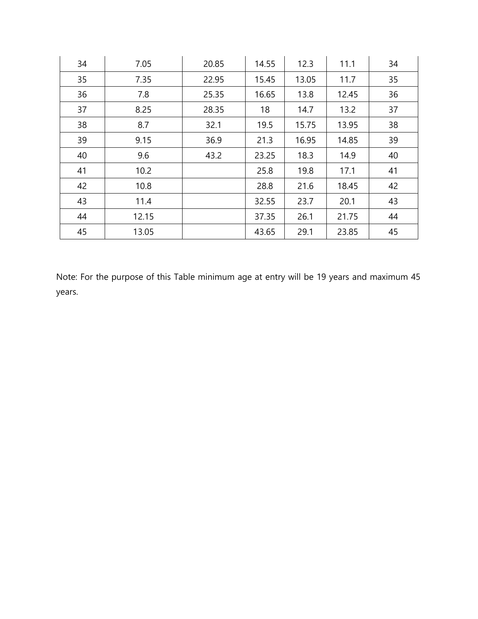| 34 | 7.05  | 20.85 | 14.55 | 12.3  | 11.1  | 34 |
|----|-------|-------|-------|-------|-------|----|
| 35 | 7.35  | 22.95 | 15.45 | 13.05 | 11.7  | 35 |
| 36 | 7.8   | 25.35 | 16.65 | 13.8  | 12.45 | 36 |
| 37 | 8.25  | 28.35 | 18    | 14.7  | 13.2  | 37 |
| 38 | 8.7   | 32.1  | 19.5  | 15.75 | 13.95 | 38 |
| 39 | 9.15  | 36.9  | 21.3  | 16.95 | 14.85 | 39 |
| 40 | 9.6   | 43.2  | 23.25 | 18.3  | 14.9  | 40 |
| 41 | 10.2  |       | 25.8  | 19.8  | 17.1  | 41 |
| 42 | 10.8  |       | 28.8  | 21.6  | 18.45 | 42 |
| 43 | 11.4  |       | 32.55 | 23.7  | 20.1  | 43 |
| 44 | 12.15 |       | 37.35 | 26.1  | 21.75 | 44 |
| 45 | 13.05 |       | 43.65 | 29.1  | 23.85 | 45 |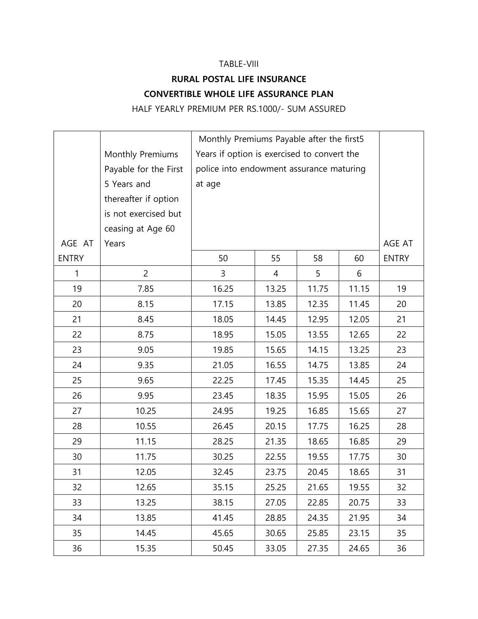#### TABLE-VIII

## **RURAL POSTAL LIFE INSURANCE CONVERTIBLE WHOLE LIFE ASSURANCE PLAN**

HALF YEARLY PREMIUM PER RS.1000/- SUM ASSURED

|              |                       |        | Monthly Premiums Payable after the first5   |       |       |              |  |  |
|--------------|-----------------------|--------|---------------------------------------------|-------|-------|--------------|--|--|
|              | Monthly Premiums      |        | Years if option is exercised to convert the |       |       |              |  |  |
|              | Payable for the First |        | police into endowment assurance maturing    |       |       |              |  |  |
|              | 5 Years and           | at age |                                             |       |       |              |  |  |
|              | thereafter if option  |        |                                             |       |       |              |  |  |
|              | is not exercised but  |        |                                             |       |       |              |  |  |
|              | ceasing at Age 60     |        |                                             |       |       |              |  |  |
| AGE AT       | Years                 |        |                                             |       |       | AGE AT       |  |  |
| <b>ENTRY</b> |                       | 50     | 55                                          | 58    | 60    | <b>ENTRY</b> |  |  |
| $\mathbf{1}$ | $\overline{2}$        | 3      | 4                                           | 5     | 6     |              |  |  |
| 19           | 7.85                  | 16.25  | 13.25                                       | 11.75 | 11.15 | 19           |  |  |
| 20           | 8.15                  | 17.15  | 13.85                                       | 12.35 | 11.45 | 20           |  |  |
| 21           | 8.45                  | 18.05  | 14.45                                       | 12.95 | 12.05 | 21           |  |  |
| 22           | 8.75                  | 18.95  | 15.05                                       | 13.55 | 12.65 | 22           |  |  |
| 23           | 9.05                  | 19.85  | 15.65                                       | 14.15 | 13.25 | 23           |  |  |
| 24           | 9.35                  | 21.05  | 16.55                                       | 14.75 | 13.85 | 24           |  |  |
| 25           | 9.65                  | 22.25  | 17.45                                       | 15.35 | 14.45 | 25           |  |  |
| 26           | 9.95                  | 23.45  | 18.35                                       | 15.95 | 15.05 | 26           |  |  |
| 27           | 10.25                 | 24.95  | 19.25                                       | 16.85 | 15.65 | 27           |  |  |
| 28           | 10.55                 | 26.45  | 20.15                                       | 17.75 | 16.25 | 28           |  |  |
| 29           | 11.15                 | 28.25  | 21.35                                       | 18.65 | 16.85 | 29           |  |  |
| 30           | 11.75                 | 30.25  | 22.55                                       | 19.55 | 17.75 | 30           |  |  |
| 31           | 12.05                 | 32.45  | 23.75                                       | 20.45 | 18.65 | 31           |  |  |
| 32           | 12.65                 | 35.15  | 25.25                                       | 21.65 | 19.55 | 32           |  |  |
| 33           | 13.25                 | 38.15  | 27.05                                       | 22.85 | 20.75 | 33           |  |  |
| 34           | 13.85                 | 41.45  | 28.85                                       | 24.35 | 21.95 | 34           |  |  |
| 35           | 14.45                 | 45.65  | 30.65                                       | 25.85 | 23.15 | 35           |  |  |
| 36           | 15.35                 | 50.45  | 33.05                                       | 27.35 | 24.65 | 36           |  |  |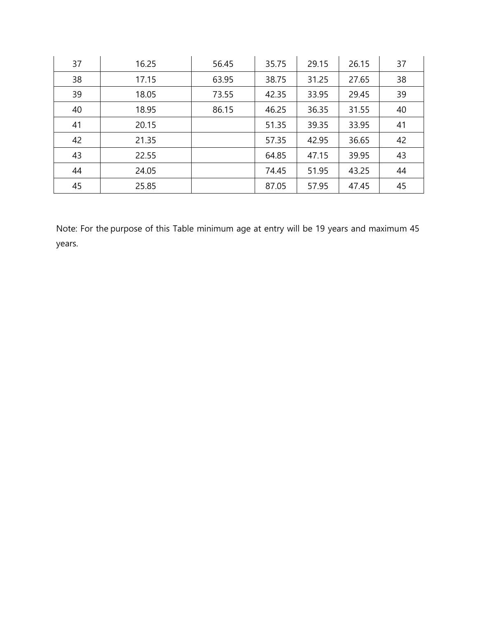| 37 | 16.25 | 56.45 | 35.75 | 29.15 | 26.15 | 37 |
|----|-------|-------|-------|-------|-------|----|
| 38 | 17.15 | 63.95 | 38.75 | 31.25 | 27.65 | 38 |
| 39 | 18.05 | 73.55 | 42.35 | 33.95 | 29.45 | 39 |
| 40 | 18.95 | 86.15 | 46.25 | 36.35 | 31.55 | 40 |
| 41 | 20.15 |       | 51.35 | 39.35 | 33.95 | 41 |
| 42 | 21.35 |       | 57.35 | 42.95 | 36.65 | 42 |
| 43 | 22.55 |       | 64.85 | 47.15 | 39.95 | 43 |
| 44 | 24.05 |       | 74.45 | 51.95 | 43.25 | 44 |
| 45 | 25.85 |       | 87.05 | 57.95 | 47.45 | 45 |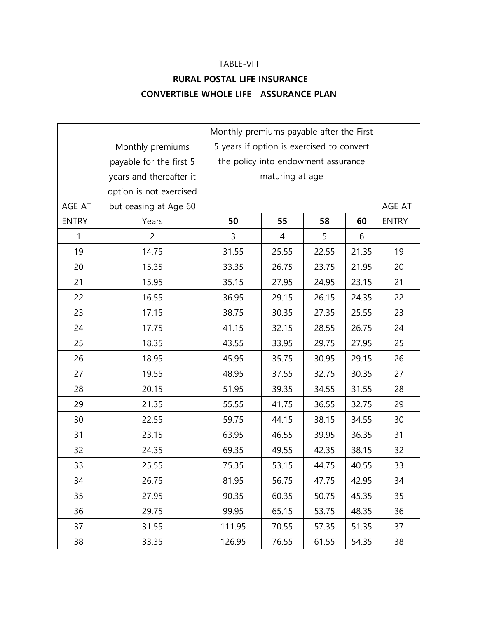#### TABLE-VIII

## **RURAL POSTAL LIFE INSURANCE CONVERTIBLE WHOLE LIFE ASSURANCE PLAN**

|              |                         |                                           | Monthly premiums payable after the First |       |       |              |  |  |  |
|--------------|-------------------------|-------------------------------------------|------------------------------------------|-------|-------|--------------|--|--|--|
|              | Monthly premiums        | 5 years if option is exercised to convert |                                          |       |       |              |  |  |  |
|              | payable for the first 5 | the policy into endowment assurance       |                                          |       |       |              |  |  |  |
|              | years and thereafter it |                                           | maturing at age                          |       |       |              |  |  |  |
|              | option is not exercised |                                           |                                          |       |       |              |  |  |  |
| AGE AT       | but ceasing at Age 60   |                                           |                                          |       |       | AGE AT       |  |  |  |
| <b>ENTRY</b> | Years                   | 50                                        | 55                                       | 58    | 60    | <b>ENTRY</b> |  |  |  |
| $\mathbf{1}$ | $\overline{c}$          | 3                                         | 4                                        | 5     | 6     |              |  |  |  |
| 19           | 14.75                   | 31.55                                     | 25.55                                    | 22.55 | 21.35 | 19           |  |  |  |
| 20           | 15.35                   | 33.35                                     | 26.75                                    | 23.75 | 21.95 | 20           |  |  |  |
| 21           | 15.95                   | 35.15                                     | 27.95                                    | 24.95 | 23.15 | 21           |  |  |  |
| 22           | 16.55                   | 36.95                                     | 29.15                                    | 26.15 | 24.35 | 22           |  |  |  |
| 23           | 17.15                   | 38.75                                     | 30.35                                    | 27.35 | 25.55 | 23           |  |  |  |
| 24           | 17.75                   | 41.15                                     | 32.15                                    | 28.55 | 26.75 | 24           |  |  |  |
| 25           | 18.35                   | 43.55                                     | 33.95                                    | 29.75 | 27.95 | 25           |  |  |  |
| 26           | 18.95                   | 45.95                                     | 35.75                                    | 30.95 | 29.15 | 26           |  |  |  |
| 27           | 19.55                   | 48.95                                     | 37.55                                    | 32.75 | 30.35 | 27           |  |  |  |
| 28           | 20.15                   | 51.95                                     | 39.35                                    | 34.55 | 31.55 | 28           |  |  |  |
| 29           | 21.35                   | 55.55                                     | 41.75                                    | 36.55 | 32.75 | 29           |  |  |  |
| 30           | 22.55                   | 59.75                                     | 44.15                                    | 38.15 | 34.55 | 30           |  |  |  |
| 31           | 23.15                   | 63.95                                     | 46.55                                    | 39.95 | 36.35 | 31           |  |  |  |
| 32           | 24.35                   | 69.35                                     | 49.55                                    | 42.35 | 38.15 | 32           |  |  |  |
| 33           | 25.55                   | 75.35                                     | 53.15                                    | 44.75 | 40.55 | 33           |  |  |  |
| 34           | 26.75                   | 81.95                                     | 56.75                                    | 47.75 | 42.95 | 34           |  |  |  |
| 35           | 27.95                   | 90.35                                     | 60.35                                    | 50.75 | 45.35 | 35           |  |  |  |
| 36           | 29.75                   | 99.95                                     | 65.15                                    | 53.75 | 48.35 | 36           |  |  |  |
| 37           | 31.55                   | 111.95                                    | 70.55                                    | 57.35 | 51.35 | 37           |  |  |  |
| 38           | 33.35                   | 126.95                                    | 76.55                                    | 61.55 | 54.35 | 38           |  |  |  |